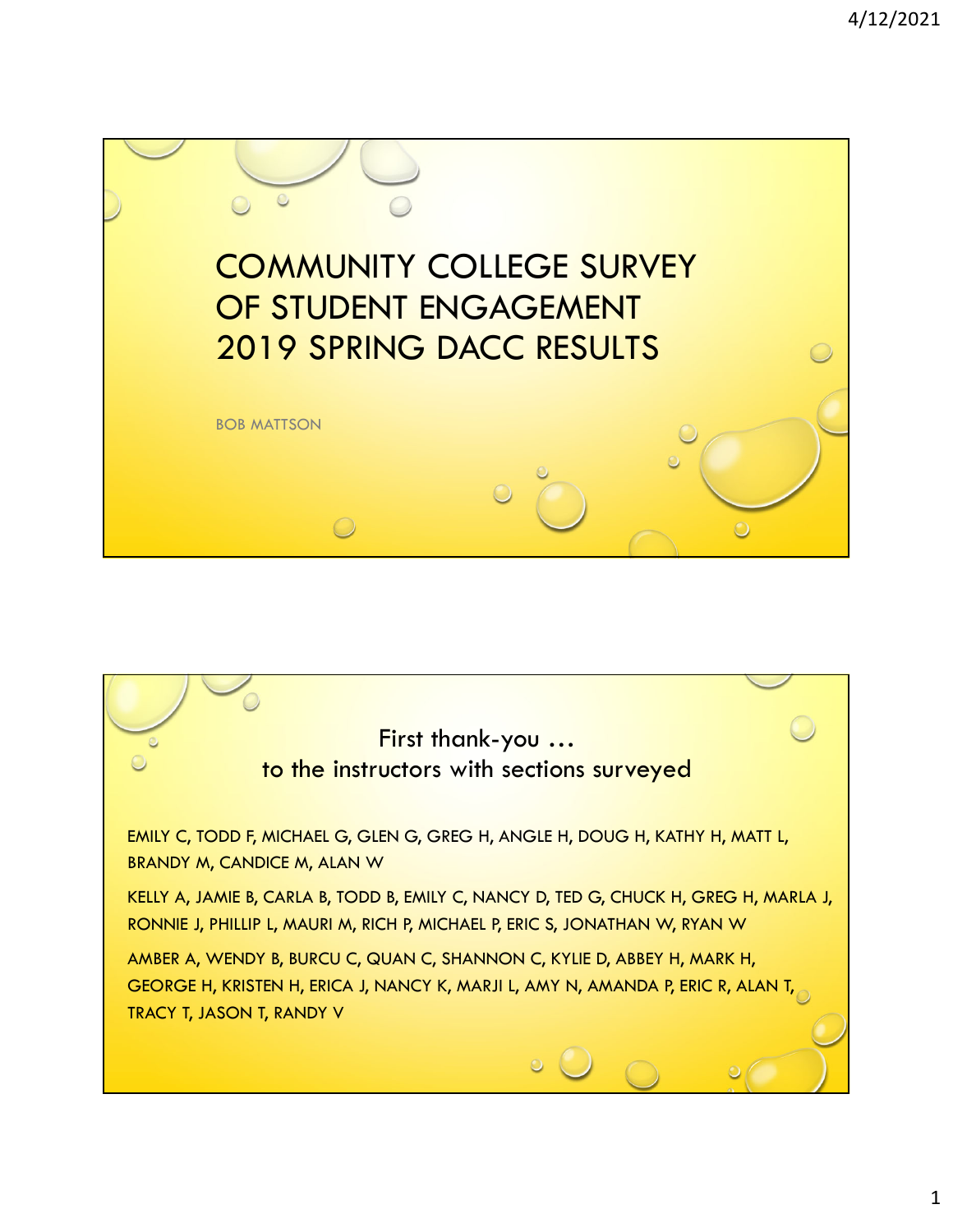

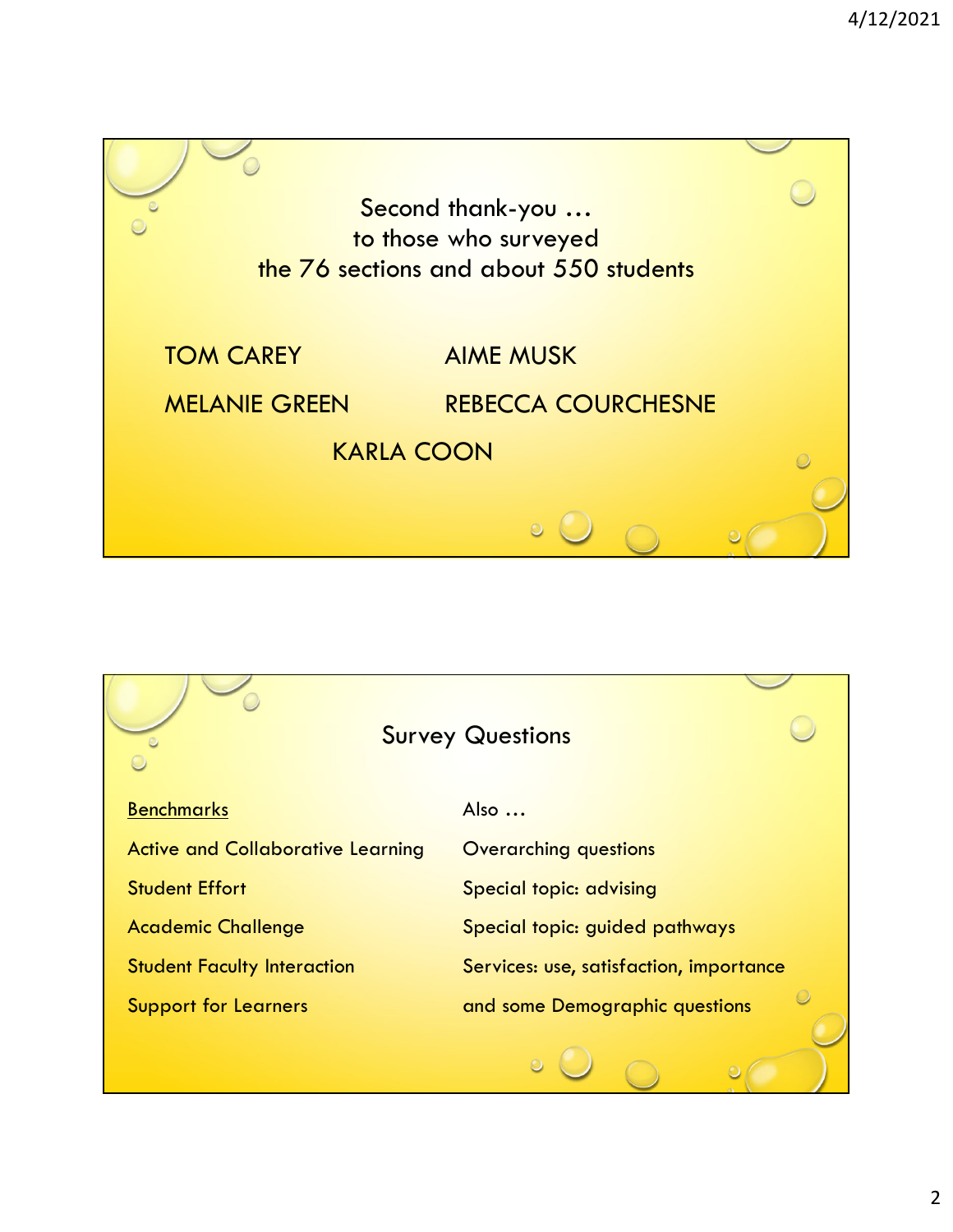

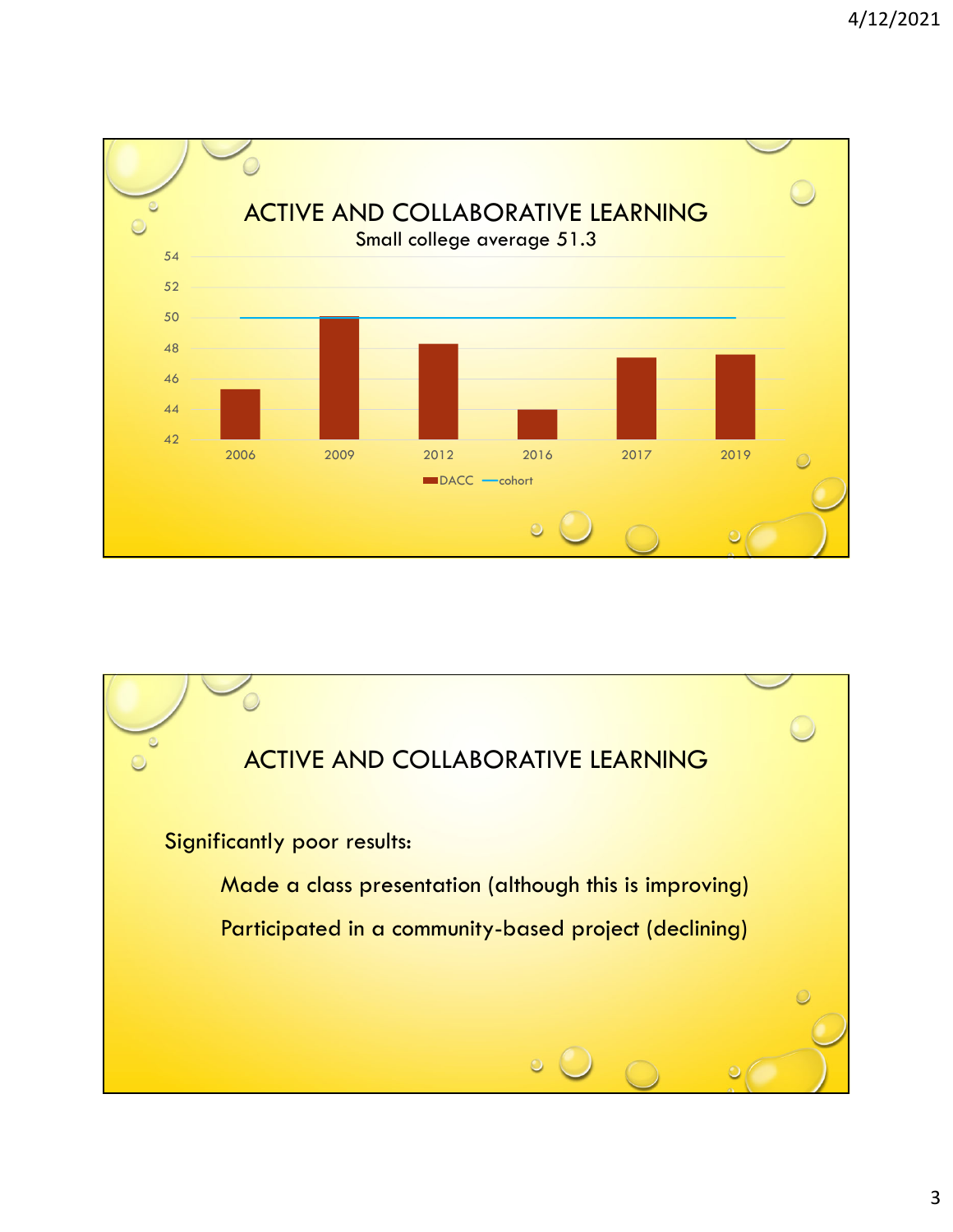

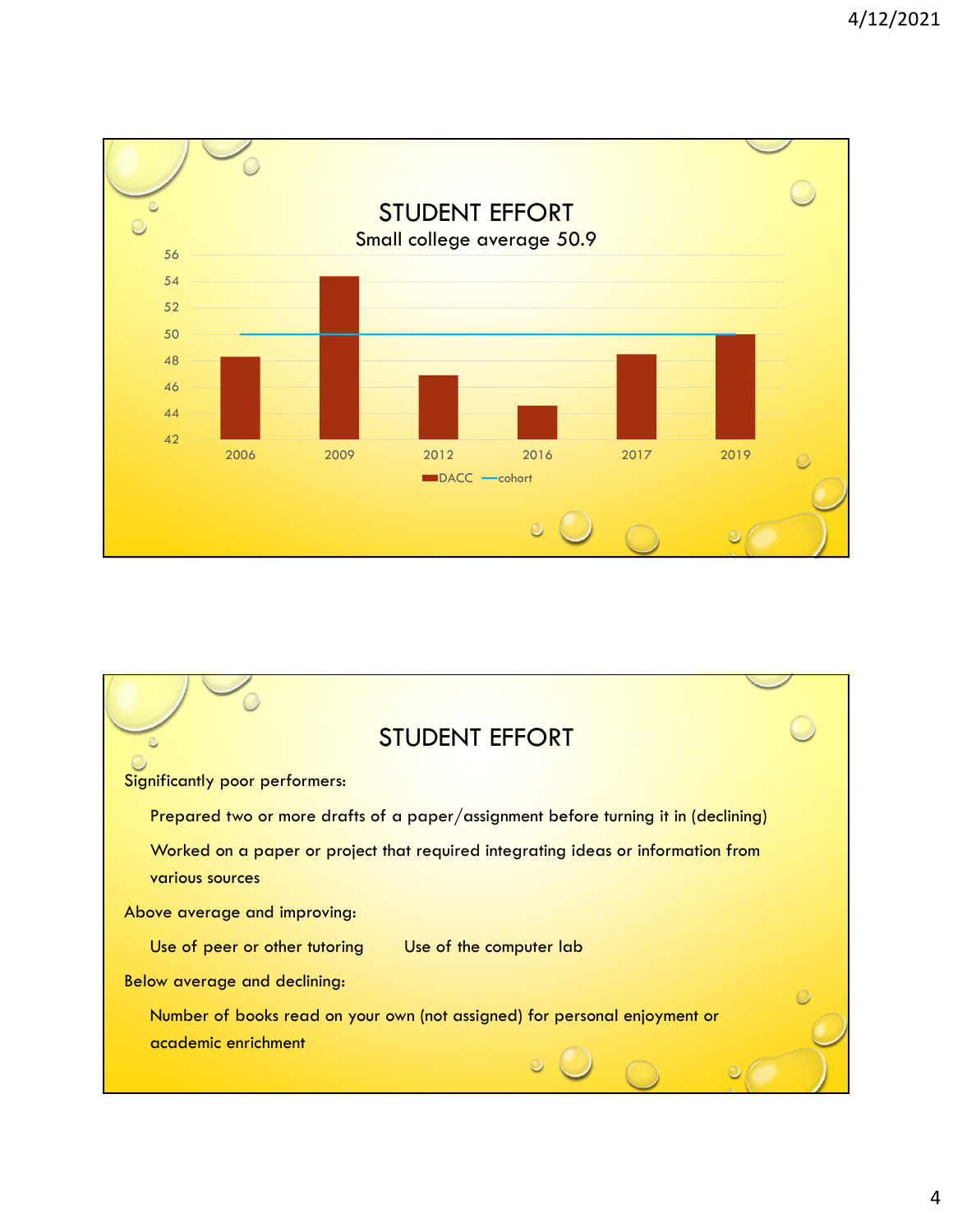

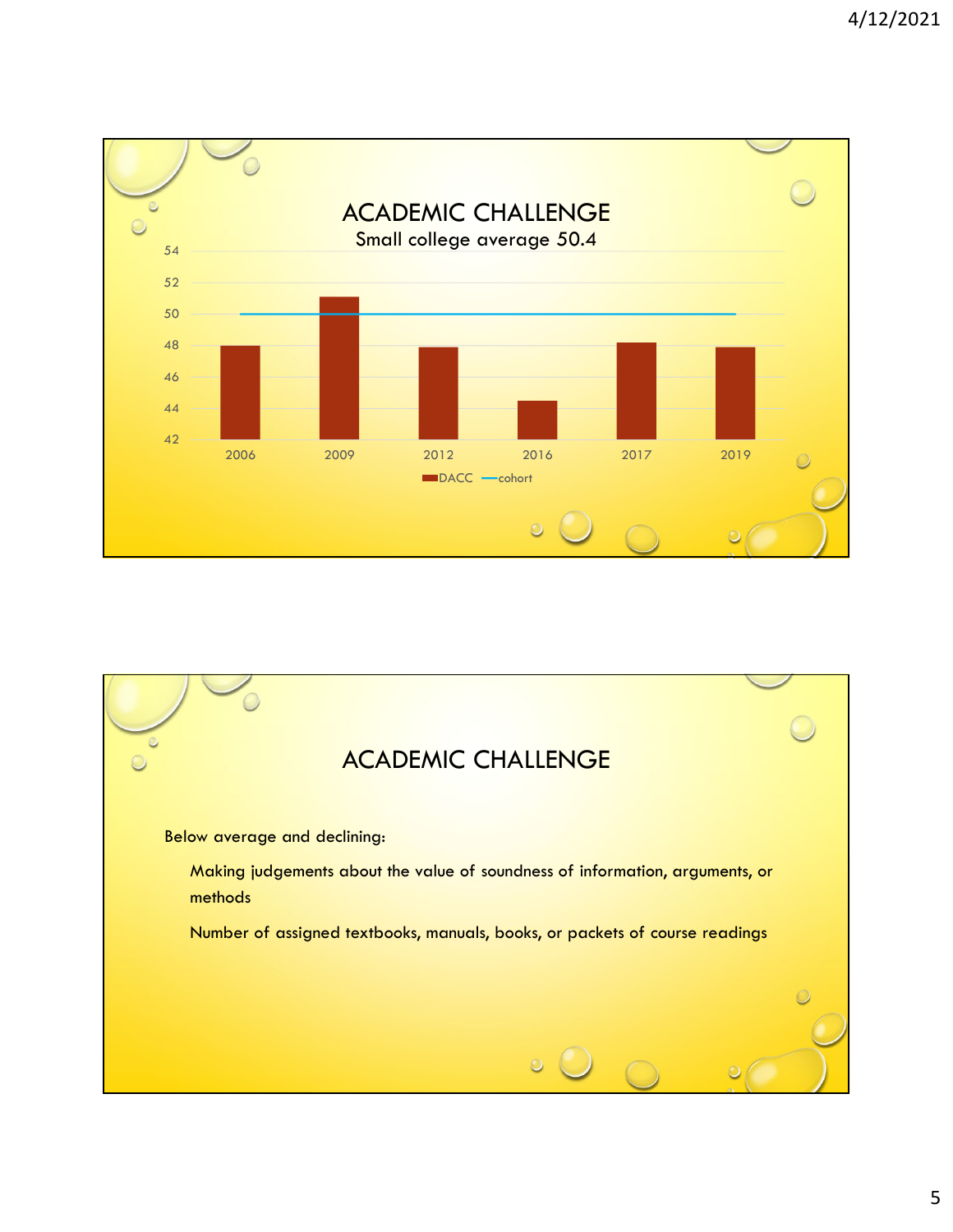

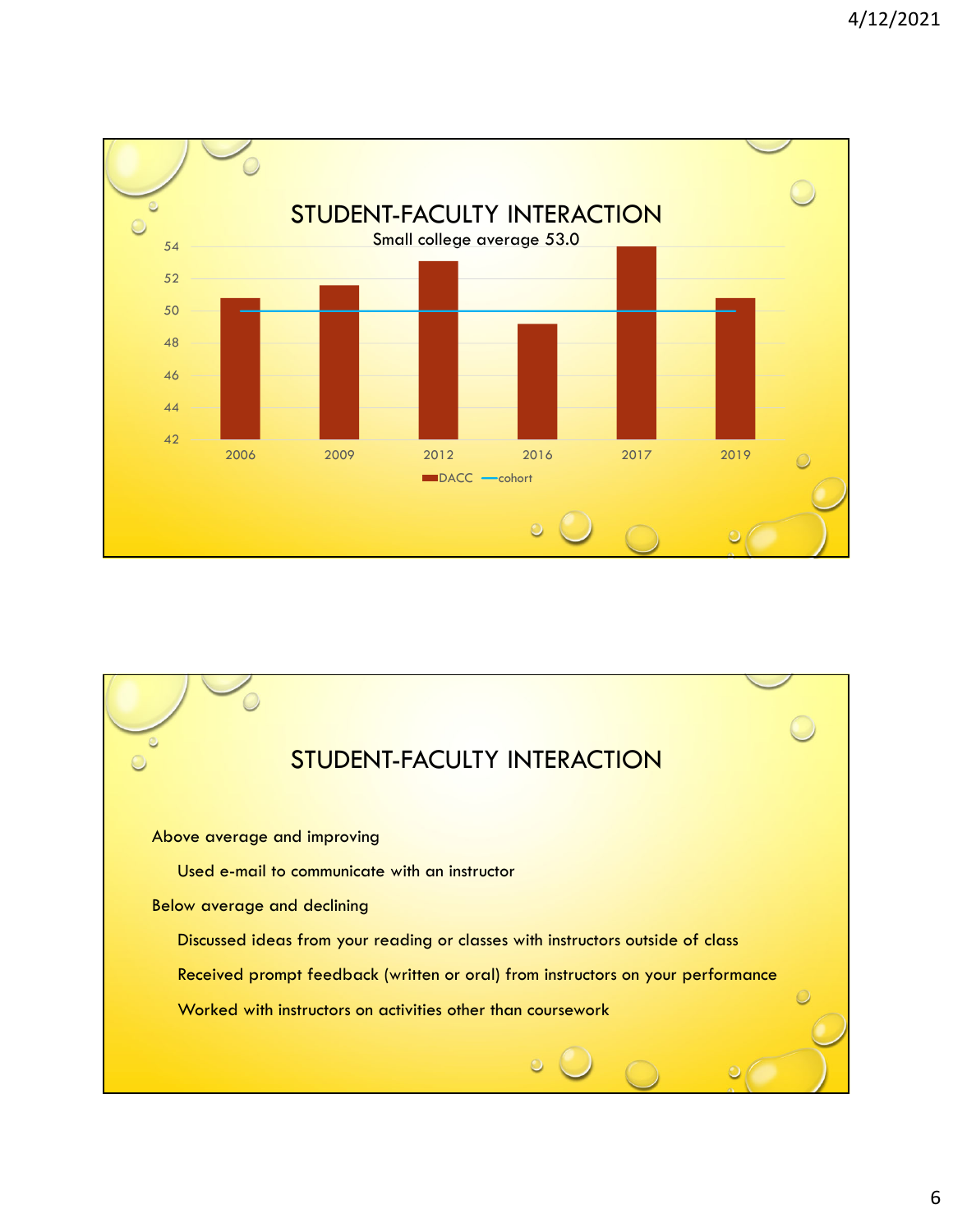

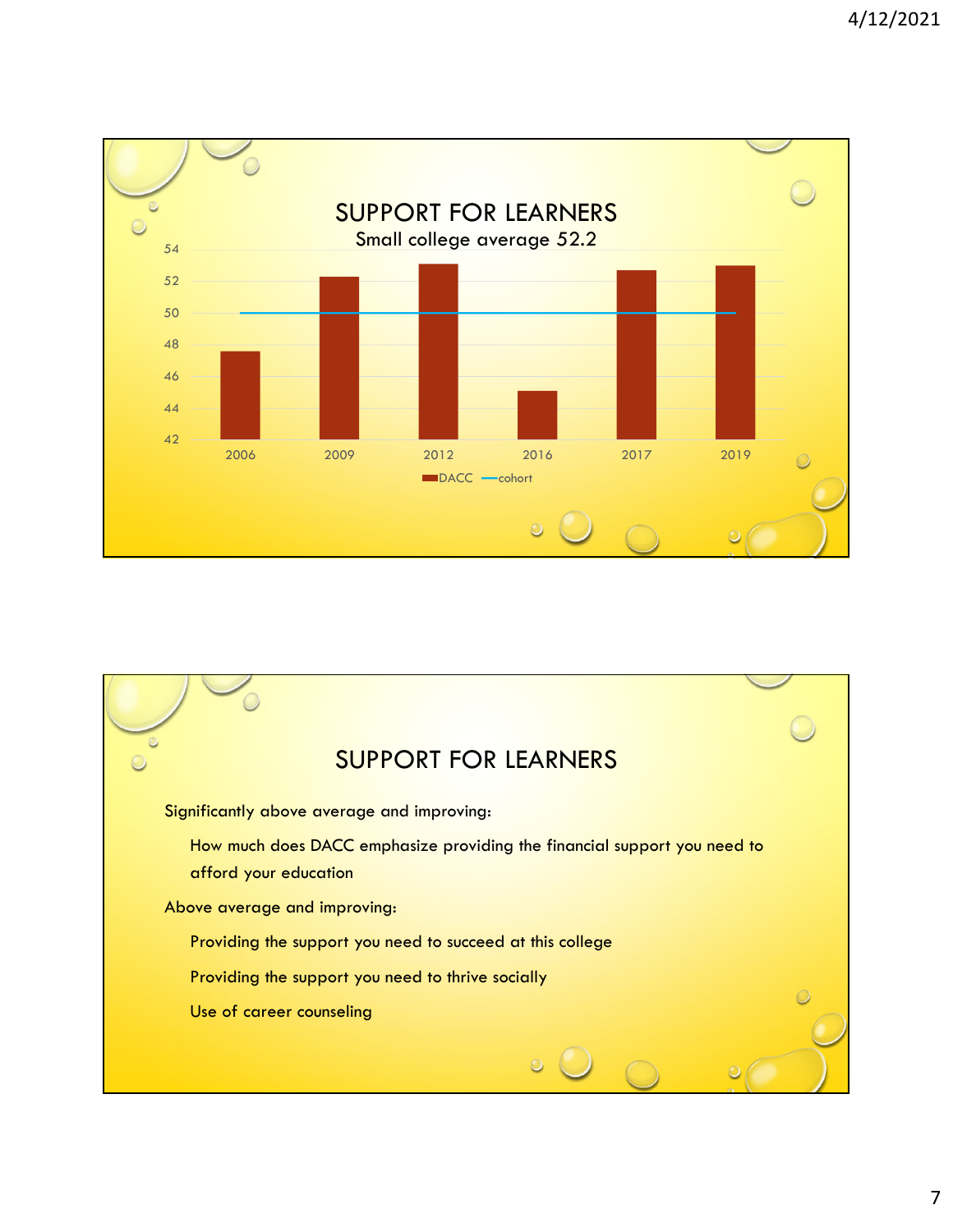

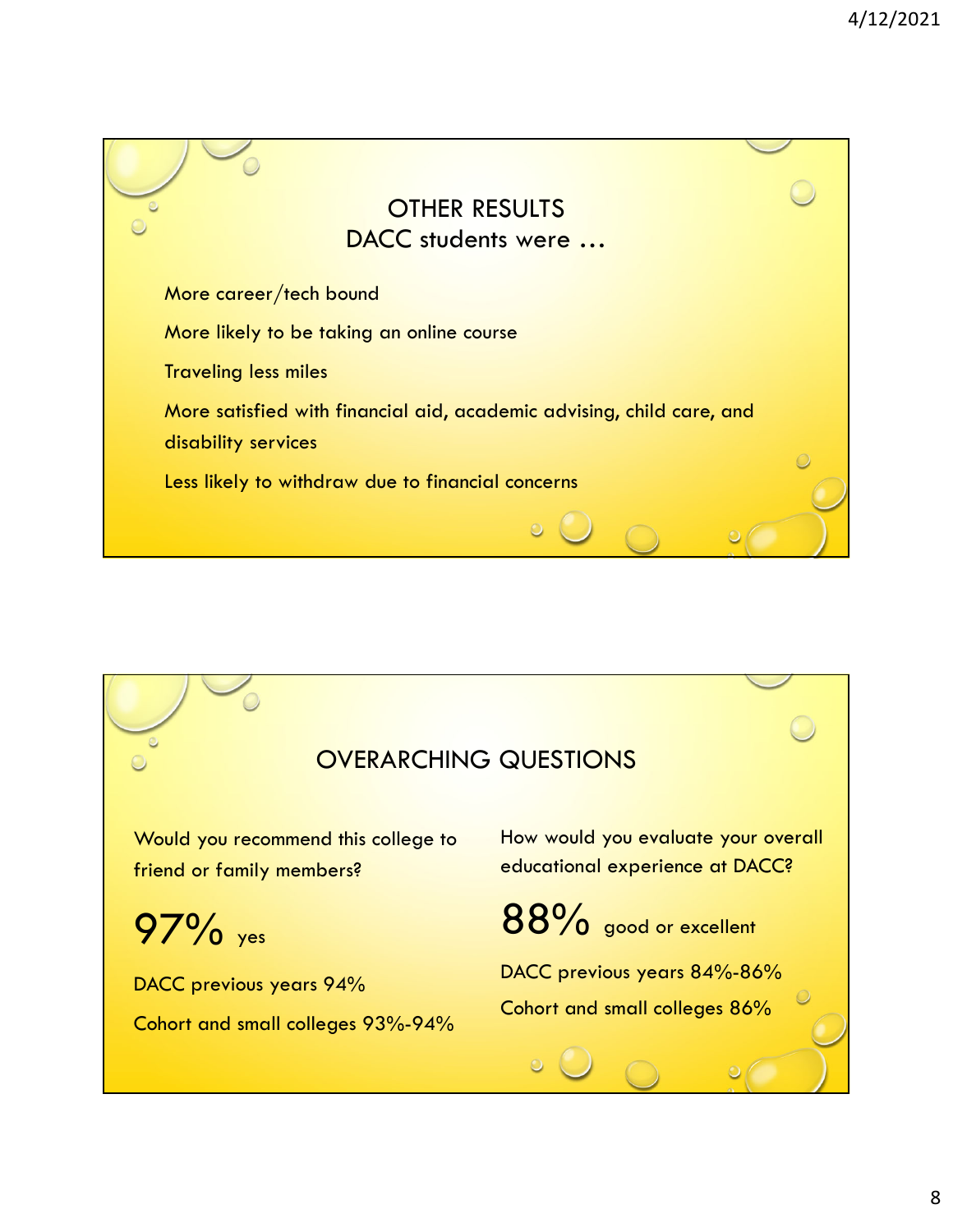